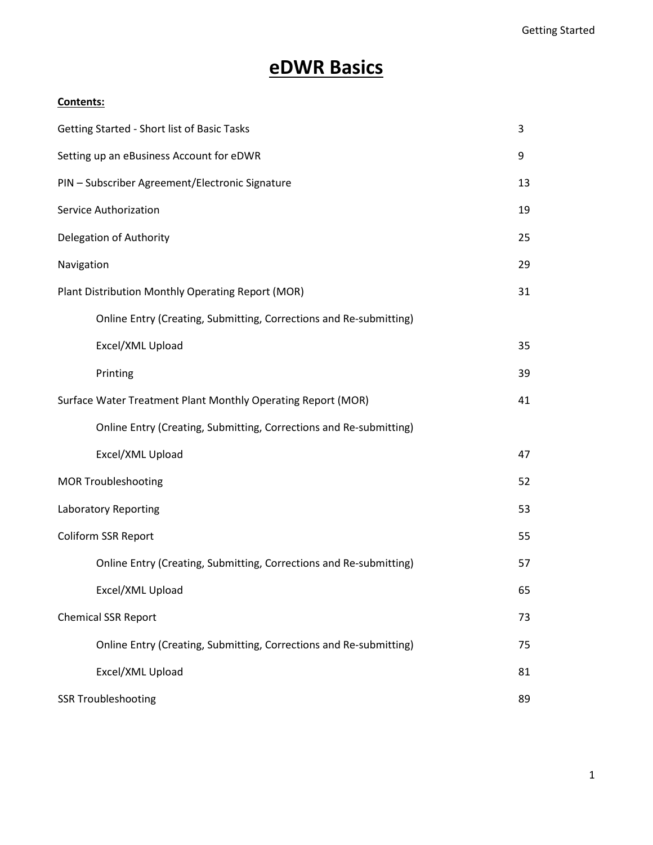# **eDWR Basics**

### **Contents:**

| Getting Started - Short list of Basic Tasks                        | 3  |
|--------------------------------------------------------------------|----|
| Setting up an eBusiness Account for eDWR                           | 9  |
| PIN - Subscriber Agreement/Electronic Signature                    | 13 |
| <b>Service Authorization</b>                                       | 19 |
| Delegation of Authority                                            | 25 |
| Navigation                                                         | 29 |
| Plant Distribution Monthly Operating Report (MOR)                  | 31 |
| Online Entry (Creating, Submitting, Corrections and Re-submitting) |    |
| Excel/XML Upload                                                   | 35 |
| Printing                                                           | 39 |
| Surface Water Treatment Plant Monthly Operating Report (MOR)       | 41 |
| Online Entry (Creating, Submitting, Corrections and Re-submitting) |    |
| Excel/XML Upload                                                   | 47 |
| <b>MOR Troubleshooting</b>                                         | 52 |
| Laboratory Reporting                                               | 53 |
| Coliform SSR Report                                                | 55 |
| Online Entry (Creating, Submitting, Corrections and Re-submitting) | 57 |
| Excel/XML Upload                                                   | 65 |
| <b>Chemical SSR Report</b>                                         | 73 |
| Online Entry (Creating, Submitting, Corrections and Re-submitting) | 75 |
| Excel/XML Upload                                                   | 81 |
| <b>SSR Troubleshooting</b>                                         | 89 |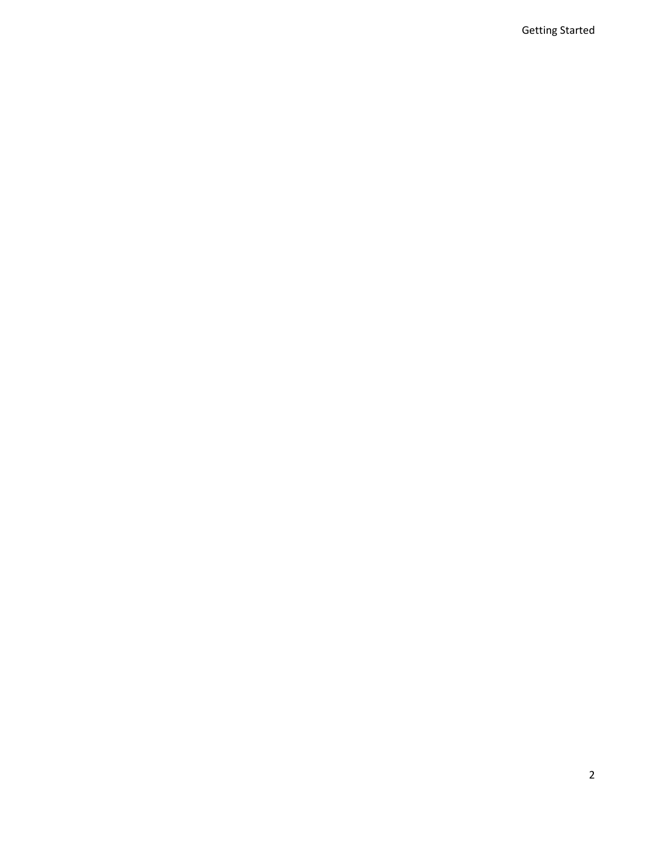Getting Started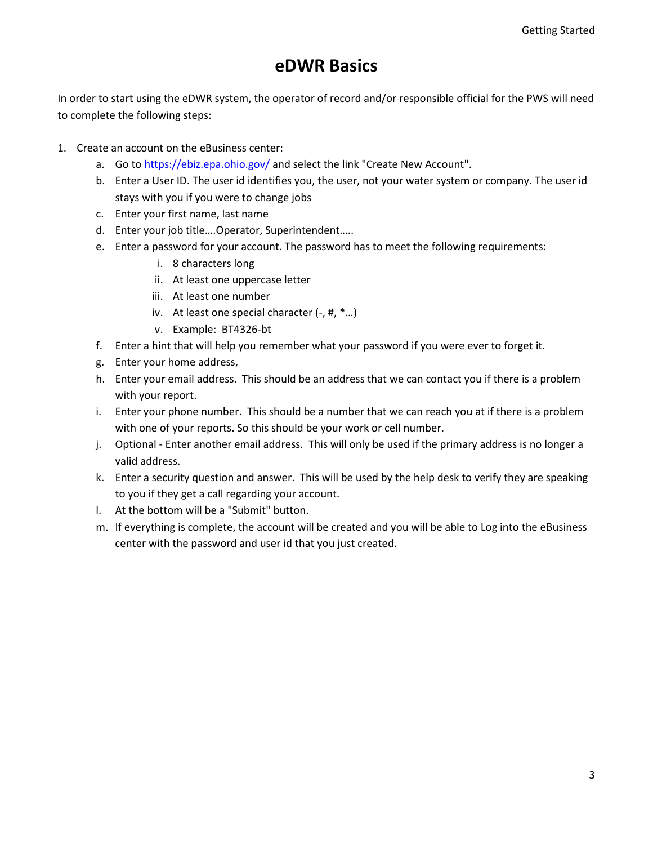## **eDWR Basics**

In order to start using the eDWR system, the operator of record and/or responsible official for the PWS will need to complete the following steps:

- 1. Create an account on the eBusiness center:
	- a. Go to<https://ebiz.epa.ohio.gov/> and select the link "Create New Account".
	- b. Enter a User ID. The user id identifies you, the user, not your water system or company. The user id stays with you if you were to change jobs
	- c. Enter your first name, last name
	- d. Enter your job title….Operator, Superintendent…..
	- e. Enter a password for your account. The password has to meet the following requirements:
		- i. 8 characters long
		- ii. At least one uppercase letter
		- iii. At least one number
		- iv. At least one special character  $(-, #, *...)$
		- v. Example: BT4326-bt
	- f. Enter a hint that will help you remember what your password if you were ever to forget it.
	- g. Enter your home address,
	- h. Enter your email address. This should be an address that we can contact you if there is a problem with your report.
	- i. Enter your phone number. This should be a number that we can reach you at if there is a problem with one of your reports. So this should be your work or cell number.
	- j. Optional Enter another email address. This will only be used if the primary address is no longer a valid address.
	- k. Enter a security question and answer. This will be used by the help desk to verify they are speaking to you if they get a call regarding your account.
	- l. At the bottom will be a "Submit" button.
	- m. If everything is complete, the account will be created and you will be able to Log into the eBusiness center with the password and user id that you just created.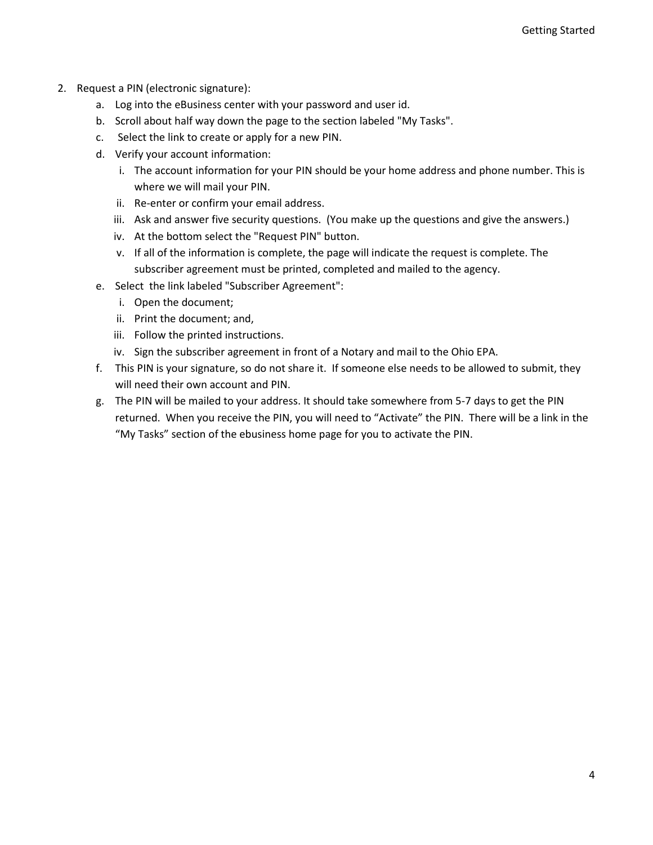- 2. Request a PIN (electronic signature):
	- a. Log into the eBusiness center with your password and user id.
	- b. Scroll about half way down the page to the section labeled "My Tasks".
	- c. Select the link to create or apply for a new PIN.
	- d. Verify your account information:
		- i. The account information for your PIN should be your home address and phone number. This is where we will mail your PIN.
		- ii. Re-enter or confirm your email address.
		- iii. Ask and answer five security questions. (You make up the questions and give the answers.)
		- iv. At the bottom select the "Request PIN" button.
		- v. If all of the information is complete, the page will indicate the request is complete. The subscriber agreement must be printed, completed and mailed to the agency.
	- e. Select the link labeled "Subscriber Agreement":
		- i. Open the document;
		- ii. Print the document; and,
		- iii. Follow the printed instructions.
		- iv. Sign the subscriber agreement in front of a Notary and mail to the Ohio EPA.
	- f. This PIN is your signature, so do not share it. If someone else needs to be allowed to submit, they will need their own account and PIN.
	- g. The PIN will be mailed to your address. It should take somewhere from 5-7 days to get the PIN returned. When you receive the PIN, you will need to "Activate" the PIN. There will be a link in the "My Tasks" section of the ebusiness home page for you to activate the PIN.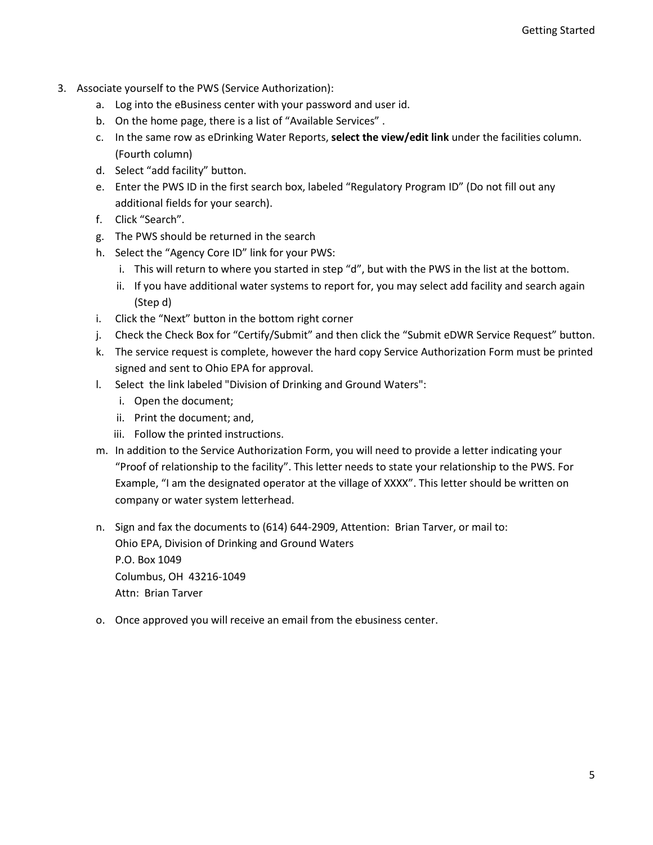- 3. Associate yourself to the PWS (Service Authorization):
	- a. Log into the eBusiness center with your password and user id.
	- b. On the home page, there is a list of "Available Services" .
	- c. In the same row as eDrinking Water Reports, **select the view/edit link** under the facilities column. (Fourth column)
	- d. Select "add facility" button.
	- e. Enter the PWS ID in the first search box, labeled "Regulatory Program ID" (Do not fill out any additional fields for your search).
	- f. Click "Search".
	- g. The PWS should be returned in the search
	- h. Select the "Agency Core ID" link for your PWS:
		- i. This will return to where you started in step "d", but with the PWS in the list at the bottom.
		- ii. If you have additional water systems to report for, you may select add facility and search again (Step d)
	- i. Click the "Next" button in the bottom right corner
	- j. Check the Check Box for "Certify/Submit" and then click the "Submit eDWR Service Request" button.
	- k. The service request is complete, however the hard copy Service Authorization Form must be printed signed and sent to Ohio EPA for approval.
	- l. Select the link labeled "Division of Drinking and Ground Waters":
		- i. Open the document;
		- ii. Print the document; and,
		- iii. Follow the printed instructions.
	- m. In addition to the Service Authorization Form, you will need to provide a letter indicating your "Proof of relationship to the facility". This letter needs to state your relationship to the PWS. For Example, "I am the designated operator at the village of XXXX". This letter should be written on company or water system letterhead.
	- n. Sign and fax the documents to (614) 644-2909, Attention: Brian Tarver, or mail to: Ohio EPA, Division of Drinking and Ground Waters P.O. Box 1049 Columbus, OH 43216-1049 Attn: Brian Tarver
	- o. Once approved you will receive an email from the ebusiness center.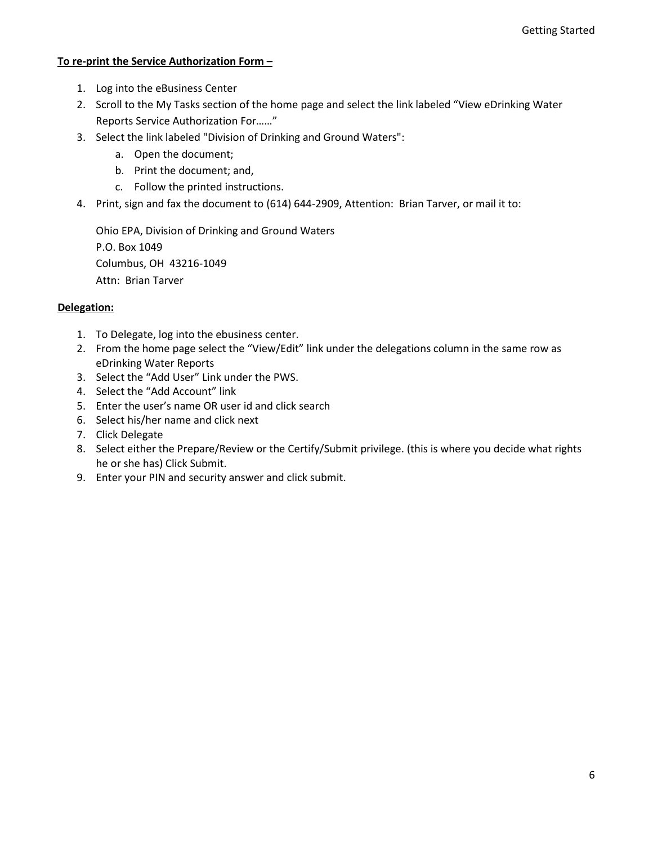#### **To re-print the Service Authorization Form –**

- 1. Log into the eBusiness Center
- 2. Scroll to the My Tasks section of the home page and select the link labeled "View eDrinking Water Reports Service Authorization For……"
- 3. Select the link labeled "Division of Drinking and Ground Waters":
	- a. Open the document;
	- b. Print the document; and,
	- c. Follow the printed instructions.
- 4. Print, sign and fax the document to (614) 644-2909, Attention: Brian Tarver, or mail it to:

Ohio EPA, Division of Drinking and Ground Waters P.O. Box 1049 Columbus, OH 43216-1049 Attn: Brian Tarver

#### **Delegation:**

- 1. To Delegate, log into the ebusiness center.
- 2. From the home page select the "View/Edit" link under the delegations column in the same row as eDrinking Water Reports
- 3. Select the "Add User" Link under the PWS.
- 4. Select the "Add Account" link
- 5. Enter the user's name OR user id and click search
- 6. Select his/her name and click next
- 7. Click Delegate
- 8. Select either the Prepare/Review or the Certify/Submit privilege. (this is where you decide what rights he or she has) Click Submit.
- 9. Enter your PIN and security answer and click submit.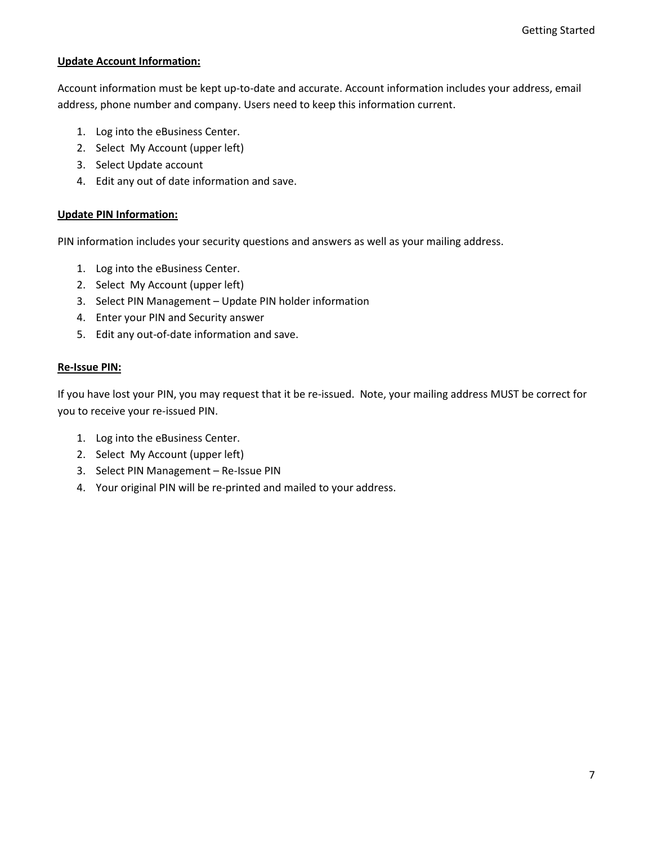#### **Update Account Information:**

Account information must be kept up-to-date and accurate. Account information includes your address, email address, phone number and company. Users need to keep this information current.

- 1. Log into the eBusiness Center.
- 2. Select My Account (upper left)
- 3. Select Update account
- 4. Edit any out of date information and save.

#### **Update PIN Information:**

PIN information includes your security questions and answers as well as your mailing address.

- 1. Log into the eBusiness Center.
- 2. Select My Account (upper left)
- 3. Select PIN Management Update PIN holder information
- 4. Enter your PIN and Security answer
- 5. Edit any out-of-date information and save.

#### **Re-Issue PIN:**

If you have lost your PIN, you may request that it be re-issued. Note, your mailing address MUST be correct for you to receive your re-issued PIN.

- 1. Log into the eBusiness Center.
- 2. Select My Account (upper left)
- 3. Select PIN Management Re-Issue PIN
- 4. Your original PIN will be re-printed and mailed to your address.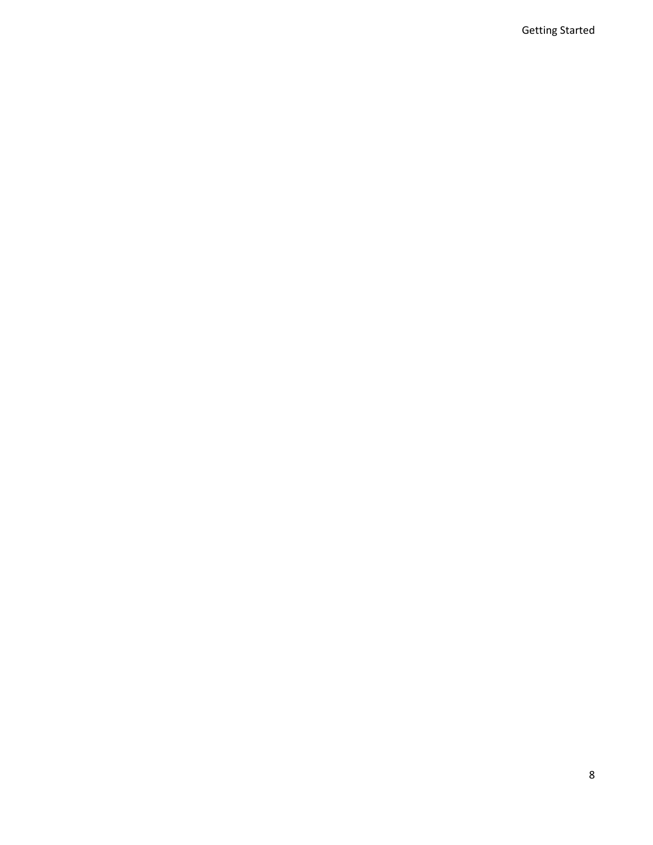Getting Started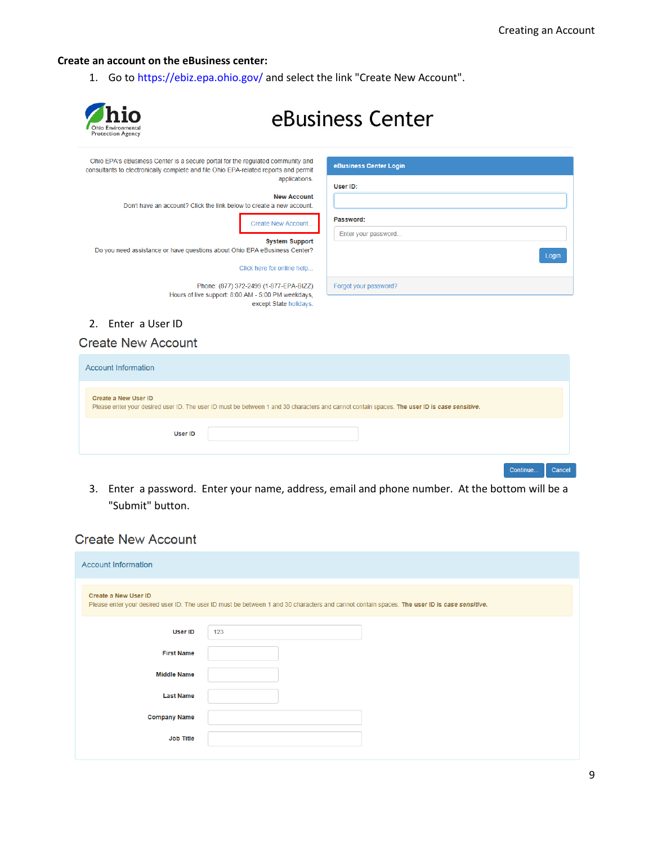#### **Create an account on the eBusiness center:**

1. Go to<https://ebiz.epa.ohio.gov/> and select the link "Create New Account".

| Ohio Environmental<br><b>Protection Agency</b>                                                                                                                                         | eBusiness Center       |  |  |
|----------------------------------------------------------------------------------------------------------------------------------------------------------------------------------------|------------------------|--|--|
| Ohio EPA's eBusiness Center is a secure portal for the regulated community and<br>consultants to electronically complete and file Ohio EPA-related reports and permit<br>applications. | eBusiness Center Login |  |  |
|                                                                                                                                                                                        | User ID:               |  |  |
| <b>New Account</b>                                                                                                                                                                     |                        |  |  |
| Don't have an account? Click the link below to create a new account.                                                                                                                   |                        |  |  |
| <b>Create New Account</b>                                                                                                                                                              | Password:              |  |  |
|                                                                                                                                                                                        | Enter your password    |  |  |
| <b>System Support</b>                                                                                                                                                                  |                        |  |  |
| Do you need assistance or have questions about Ohio EPA eBusiness Center?                                                                                                              | Login                  |  |  |
| Click here for online help                                                                                                                                                             |                        |  |  |
| Phone: (877) 372-2499 (1-877-EPA-BIZZ)                                                                                                                                                 | Forgot your password?  |  |  |
| Hours of live support: 8:00 AM - 5:00 PM weekdays,                                                                                                                                     |                        |  |  |
| except State holidays.                                                                                                                                                                 |                        |  |  |
|                                                                                                                                                                                        |                        |  |  |
| 2. Enter a User ID                                                                                                                                                                     |                        |  |  |
| <b>Create New Account</b>                                                                                                                                                              |                        |  |  |

| <b>Account Information</b>                                                                                                                                                  |          |        |
|-----------------------------------------------------------------------------------------------------------------------------------------------------------------------------|----------|--------|
| <b>Create a New User ID</b><br>Please enter your desired user ID. The user ID must be between 1 and 30 characters and cannot contain spaces. The user ID is case sensitive. |          |        |
| User ID                                                                                                                                                                     |          |        |
|                                                                                                                                                                             | Continue | Cancel |

3. Enter a password. Enter your name, address, email and phone number. At the bottom will be a "Submit" button.

## **Create New Account**

| <b>Account Information</b>  |                                                                                                                                              |
|-----------------------------|----------------------------------------------------------------------------------------------------------------------------------------------|
| <b>Create a New User ID</b> | Please enter your desired user ID. The user ID must be between 1 and 30 characters and cannot contain spaces. The user ID is case sensitive. |
| <b>User ID</b>              | 123                                                                                                                                          |
| <b>First Name</b>           |                                                                                                                                              |
| <b>Middle Name</b>          |                                                                                                                                              |
| <b>Last Name</b>            |                                                                                                                                              |
| <b>Company Name</b>         |                                                                                                                                              |
| <b>Job Title</b>            |                                                                                                                                              |
|                             |                                                                                                                                              |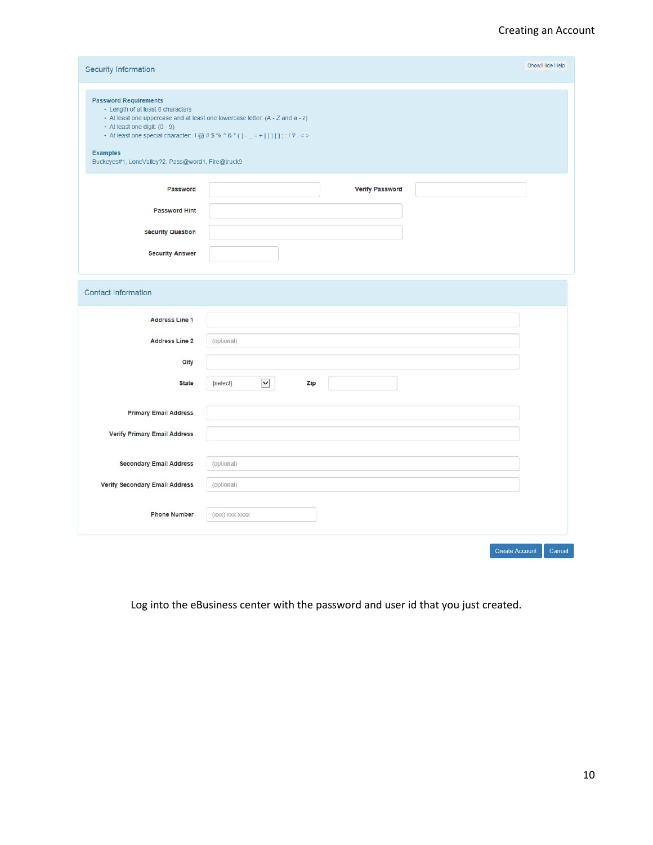### Creating an Account

| Security Information                                                                                                                                                               |                                                                                                                                                                                   | Show/Hide Help |
|------------------------------------------------------------------------------------------------------------------------------------------------------------------------------------|-----------------------------------------------------------------------------------------------------------------------------------------------------------------------------------|----------------|
| <b>Password Requirements</b><br>• Length of at least 8 characters<br>$\cdot$ At least one digit: $(0 - 9)$<br><b>Examples</b><br>Buckeyes#1, LoneValley?2, Pass@word1, Fire@truck9 | • At least one uppercase and at least one lowercase letter: (A - Z and a - z)<br>• At least one special character: $\frac{1}{2}$ @ # \$ % ^ & * () - _ = +   [] { } ; : / ? . < > |                |
| Password                                                                                                                                                                           | <b>Verify Password</b>                                                                                                                                                            |                |
| <b>Password Hint</b>                                                                                                                                                               |                                                                                                                                                                                   |                |
| <b>Security Question</b>                                                                                                                                                           |                                                                                                                                                                                   |                |
| <b>Security Answer</b>                                                                                                                                                             |                                                                                                                                                                                   |                |
| <b>Contact Information</b>                                                                                                                                                         |                                                                                                                                                                                   |                |
| <b>Address Line 1</b>                                                                                                                                                              |                                                                                                                                                                                   |                |
| <b>Address Line 2</b>                                                                                                                                                              | (optional)                                                                                                                                                                        |                |
| City                                                                                                                                                                               |                                                                                                                                                                                   |                |
| <b>State</b>                                                                                                                                                                       | $\blacktriangledown$<br>[select]<br>Zip                                                                                                                                           |                |
| <b>Primary Email Address</b>                                                                                                                                                       |                                                                                                                                                                                   |                |
| <b>Verify Primary Email Address</b>                                                                                                                                                |                                                                                                                                                                                   |                |
| <b>Secondary Email Address</b>                                                                                                                                                     | (optional)                                                                                                                                                                        |                |
| <b>Verify Secondary Email Address</b>                                                                                                                                              | (optional)                                                                                                                                                                        |                |
| <b>Phone Number</b>                                                                                                                                                                | (XXX) XXX-XXXX                                                                                                                                                                    |                |
|                                                                                                                                                                                    | <b>Create Account</b>                                                                                                                                                             | Cancel         |

Log into the eBusiness center with the password and user id that you just created.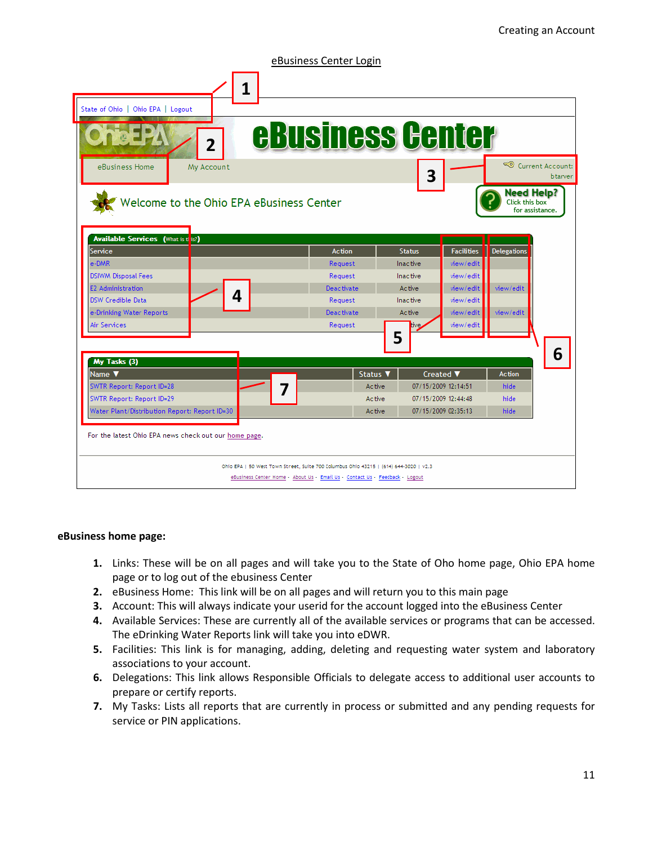eBusiness Center Login

| State of Ohio   Ohio EPA   Logout                      |                                          |                         |                 |                     |                                                               |
|--------------------------------------------------------|------------------------------------------|-------------------------|-----------------|---------------------|---------------------------------------------------------------|
| <b>Telly</b>                                           | $\overline{2}$                           | <b>eBusiness Center</b> |                 |                     |                                                               |
| eBusiness Home                                         | My Account                               |                         | 3               |                     | Current Account:<br>btarver                                   |
|                                                        | Welcome to the Ohio EPA eBusiness Center |                         |                 |                     | <b>Need Help?</b><br><b>Click this box</b><br>for assistance. |
|                                                        |                                          |                         |                 |                     |                                                               |
| <b>Available Services</b> (What is the is?)<br>Service |                                          | <b>Action</b>           | <b>Status</b>   | <b>Facilities</b>   | <b>Delegations</b>                                            |
| e-DMR                                                  |                                          | Request                 | <b>Inactive</b> | view/edit           |                                                               |
| <b>DSIWM Disposal Fees</b>                             |                                          | Request                 | Inactive        | view/edit           |                                                               |
| <b>E2</b> Administration                               |                                          | Deactivate              | Ac tive         | view/edit           | view/edit                                                     |
| <b>DSW Credible Data</b>                               |                                          | <b>Request</b>          | <b>Inactive</b> | view/edit           |                                                               |
| e-Drinking Water Reports                               |                                          | Deactivate              | Ac tive         | view/edit           | view/edit                                                     |
| Air Services                                           |                                          | Request                 | tive<br>5       | view/edit           |                                                               |
| My Tasks (3)                                           |                                          |                         |                 |                     | 6                                                             |
| Name <b>V</b>                                          |                                          | Status ▼                |                 | Created ▼           | <b>Action</b>                                                 |
| SWTR Report: Report ID=28                              |                                          |                         | <b>Active</b>   | 07/15/2009 12:14:51 | hide                                                          |
| SWTR Report: Report ID=29                              |                                          |                         | Ac tive         | 07/15/2009 12:44:48 | hide                                                          |
| Water Plant/Distribution Report: Report ID=30          |                                          |                         | Ac tive         | 07/15/2009 02:35:13 | hide                                                          |
|                                                        |                                          |                         |                 |                     |                                                               |
| For the latest Ohio EPA news check out our home page.  |                                          |                         |                 |                     |                                                               |

#### **eBusiness home page:**

- **1.** Links: These will be on all pages and will take you to the State of Oho home page, Ohio EPA home page or to log out of the ebusiness Center
- **2.** eBusiness Home: This link will be on all pages and will return you to this main page
- **3.** Account: This will always indicate your userid for the account logged into the eBusiness Center
- **4.** Available Services: These are currently all of the available services or programs that can be accessed. The eDrinking Water Reports link will take you into eDWR.
- **5.** Facilities: This link is for managing, adding, deleting and requesting water system and laboratory associations to your account.
- **6.** Delegations: This link allows Responsible Officials to delegate access to additional user accounts to prepare or certify reports.
- **7.** My Tasks: Lists all reports that are currently in process or submitted and any pending requests for service or PIN applications.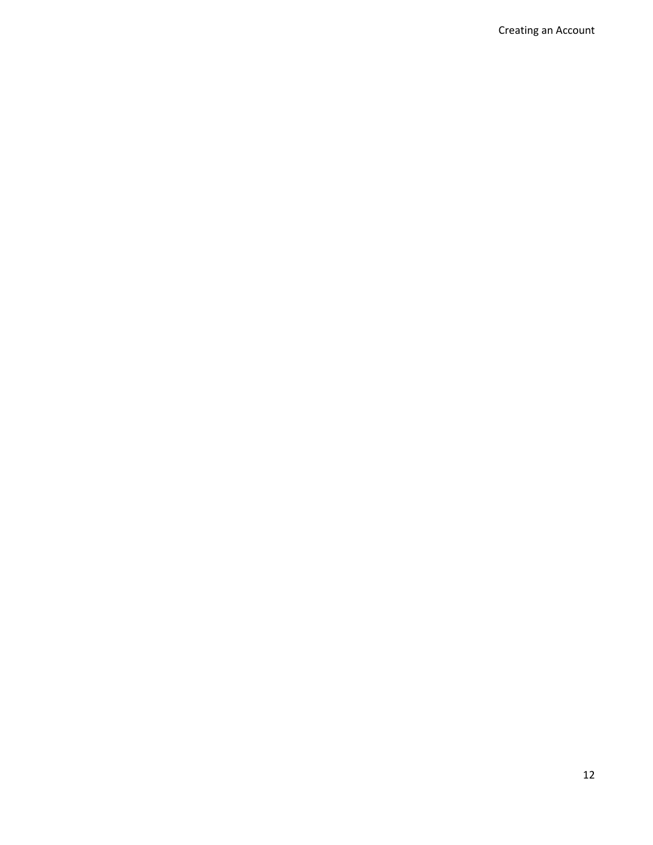Creating an Account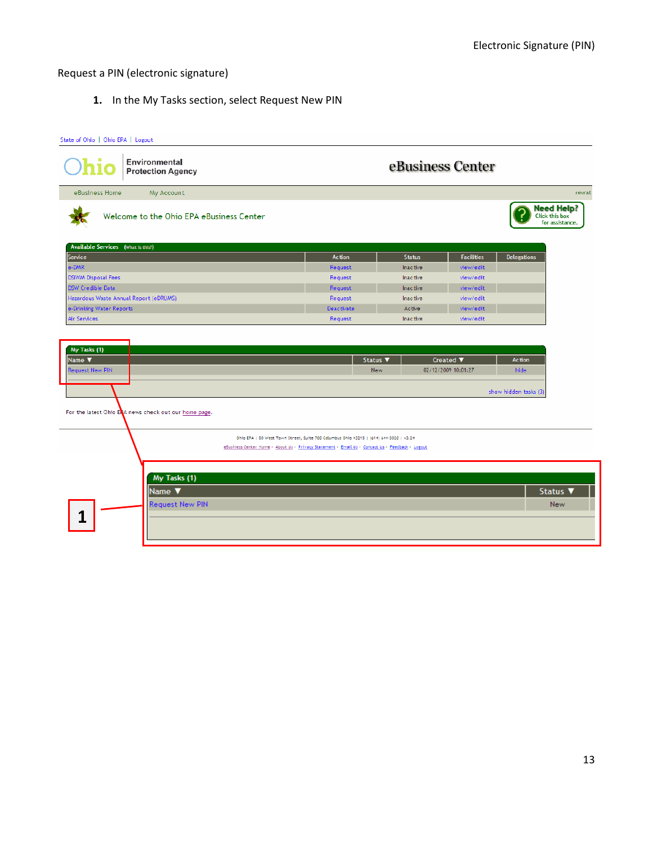Request a PIN (electronic signature)

**1.** In the My Tasks section, select Request New PIN

| Environmental<br><b>Protection Agency</b>             |                                                                                                  |                 | eBusiness Center    |                                                        |
|-------------------------------------------------------|--------------------------------------------------------------------------------------------------|-----------------|---------------------|--------------------------------------------------------|
| eBusiness Home<br>My Account                          |                                                                                                  |                 |                     |                                                        |
| Welcome to the Ohio EPA eBusiness Center              |                                                                                                  |                 |                     | <b>Need Help?</b><br>Click this box<br>for assistance. |
| <b>Available Services</b> (What is this?)             |                                                                                                  |                 |                     |                                                        |
| Service                                               | Action                                                                                           | <b>Status</b>   | <b>Facilities</b>   | Delegations                                            |
| e-DMR                                                 | Request                                                                                          | <b>Inactive</b> | view/edit           |                                                        |
| <b>DSIWM Disposal Fees</b>                            | Request                                                                                          | Inactive        | view/edit           |                                                        |
| <b>DSW Credible Data</b>                              | Request                                                                                          | Inactive        | view/edit           |                                                        |
| Hazardous Waste Annual Report (eDRUMS)                | Request                                                                                          | <b>Inactive</b> | view/edit           |                                                        |
| e-Drinking Water Reports                              | Deactivate                                                                                       | Ac tive         | view/edit           |                                                        |
|                                                       |                                                                                                  |                 |                     |                                                        |
| Air Services<br>My Tasks (1)                          | Request                                                                                          | Inactive        | view/edit           |                                                        |
|                                                       | Status <b>V</b>                                                                                  |                 | Created ▼           | <b>Action</b>                                          |
| Name <sub>V</sub><br><b>Request New PIN</b>           | New                                                                                              |                 | 02/12/2009 10:01:27 | hide                                                   |
|                                                       |                                                                                                  |                 |                     | show hidden tasks (3)                                  |
| For the latest Ohio EXA news check out our home page. |                                                                                                  |                 |                     |                                                        |
|                                                       | Ohio EPA   50 West Town Street, Suite 700 Columbus Ohio 43215   (614) 644-3020   v3.24           |                 |                     |                                                        |
|                                                       | eBusiness Center Home - About Us - Privacy Statement - Email Us - Contact Us - Feedback - Logout |                 |                     |                                                        |
| My Tasks (1)                                          |                                                                                                  |                 |                     |                                                        |
| Name <b>V</b>                                         |                                                                                                  |                 |                     | Status <b>V</b>                                        |
| <b>Request New PIN</b>                                |                                                                                                  |                 |                     | <b>New</b>                                             |
| 1                                                     |                                                                                                  |                 |                     |                                                        |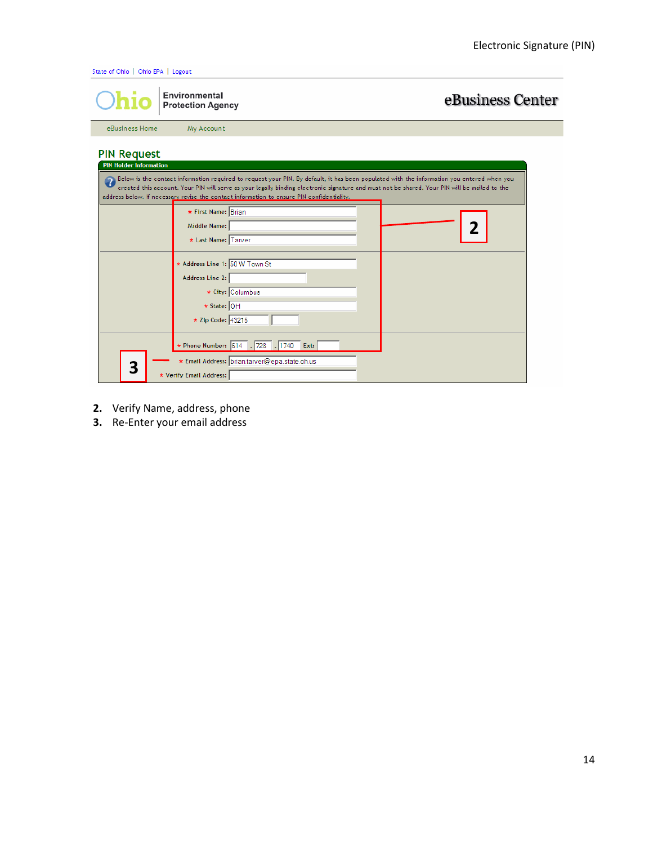

Environmental eBusiness Center **Protection Agency** My Account eBusiness Home **PIN Request** PIN Holder Information Below is the contact information required to request your PIN. By default, it has been populated with the information you entered when you<br>Created this account. Your PIN will serve as your legally binding electronic signat address below. If necessary revise the contact information to ensure PIN confidentiality. \* First Name: Brian **2**Middle Name: \* Last Name: Tarver \* Address Line 1: 50 W Town St

**2.** Verify Name, address, phone

\* Verify Email Address: [

Address Line 2:

\* City: Columbus  $\star$  State:  $\boxed{\text{OH}}$  $\star$  Zip Code:  $\boxed{43215}$ 

\* Phone Number: 614 . 728 . 1740 Ext: \* Email Address: brian.tarver@epa.state.oh.us

**3**

**3.** Re-Enter your email address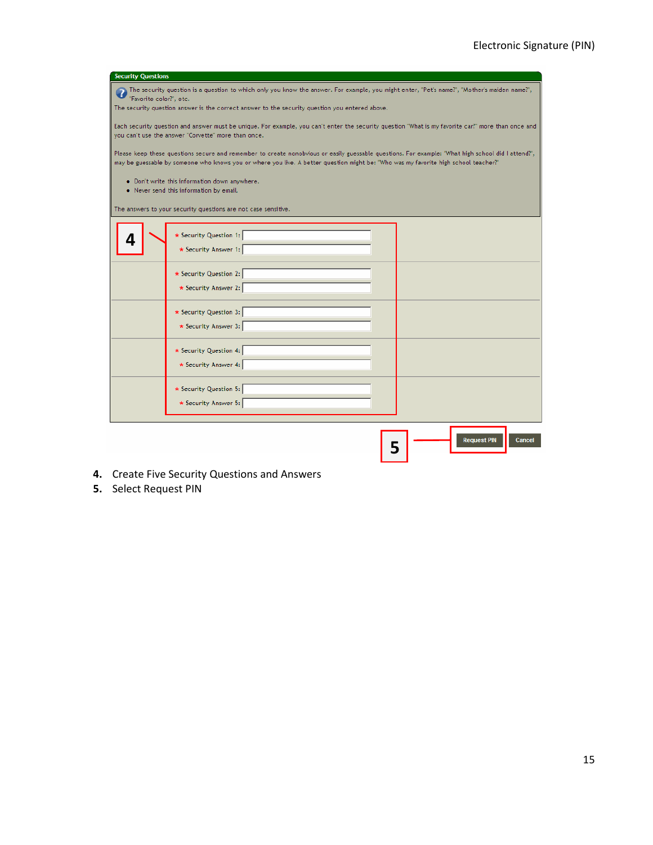| <b>Security Questions</b>                                                                                                                                                                                                                                                                 |  |  |  |  |  |
|-------------------------------------------------------------------------------------------------------------------------------------------------------------------------------------------------------------------------------------------------------------------------------------------|--|--|--|--|--|
| The security question is a question to which only you know the answer. For example, you might enter, "Pet's name?", "Mother's maiden name?",<br>7<br>'Favorite color?", etc.                                                                                                              |  |  |  |  |  |
| The security question answer is the correct answer to the security question you entered above.                                                                                                                                                                                            |  |  |  |  |  |
| Each security question and answer must be unique. For example, you can't enter the security question "What is my favorite car?" more than once and<br>you can't use the answer "Corvette" more than once.                                                                                 |  |  |  |  |  |
| Please keep these questions secure and remember to create nonobvious or easily guessable questions. For example: "What high school did I attend?",<br>may be guessable by someone who knows you or where you live. A better question might be: "Who was my favorite high school teacher?" |  |  |  |  |  |
| . Don't write this information down anywhere.<br>• Never send this information by email.                                                                                                                                                                                                  |  |  |  |  |  |
| The answers to your security questions are not case sensitive.                                                                                                                                                                                                                            |  |  |  |  |  |
| * Security Question 1:<br>Д                                                                                                                                                                                                                                                               |  |  |  |  |  |
| * Security Answer 1:                                                                                                                                                                                                                                                                      |  |  |  |  |  |
| * Security Question 2:                                                                                                                                                                                                                                                                    |  |  |  |  |  |
| * Security Answer 2:                                                                                                                                                                                                                                                                      |  |  |  |  |  |
| * Security Question 3:                                                                                                                                                                                                                                                                    |  |  |  |  |  |
| * Security Answer 3:                                                                                                                                                                                                                                                                      |  |  |  |  |  |
| * Security Question 4:                                                                                                                                                                                                                                                                    |  |  |  |  |  |
| * Security Answer 4:                                                                                                                                                                                                                                                                      |  |  |  |  |  |
| * Security Question 5:                                                                                                                                                                                                                                                                    |  |  |  |  |  |
| * Security Answer 5:                                                                                                                                                                                                                                                                      |  |  |  |  |  |
|                                                                                                                                                                                                                                                                                           |  |  |  |  |  |
| <b>Request PIN</b><br>Cancel<br>5                                                                                                                                                                                                                                                         |  |  |  |  |  |
|                                                                                                                                                                                                                                                                                           |  |  |  |  |  |

- **4.** Create Five Security Questions and Answers
- **5.** Select Request PIN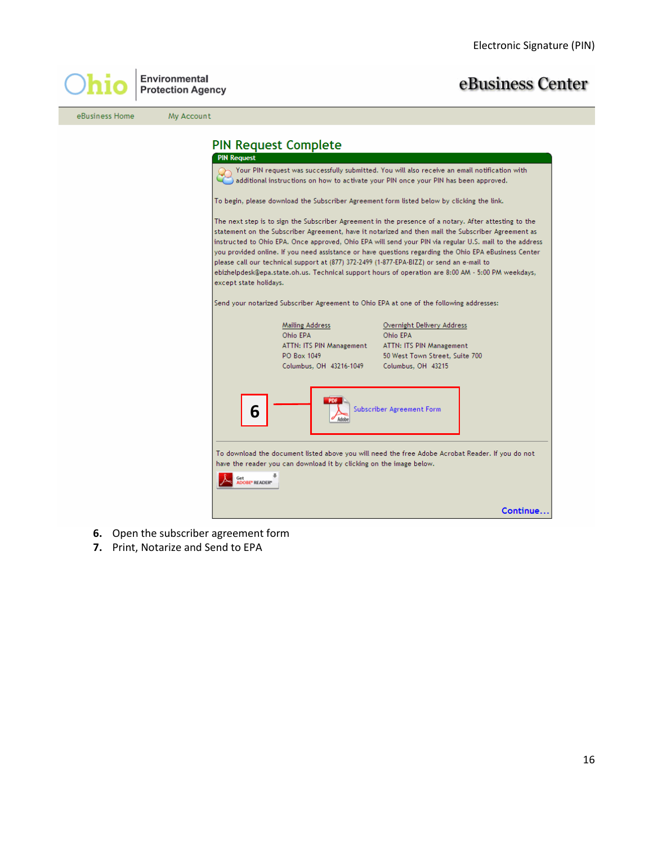#### Environmental eBusiness Center **Protection Agency** eBusiness Home My Account **PIN Request Complete PIN Request** Your PIN request was successfully submitted. You will also receive an email notification with ) additional instructions on how to activate your PIN once your PIN has been approved. To begin, please download the Subscriber Agreement form listed below by clicking the link. The next step is to sign the Subscriber Agreement in the presence of a notary. After attesting to the statement on the Subscriber Agreement, have it notarized and then mail the Subscriber Agreement as instructed to Ohio EPA. Once approved, Ohio EPA will send your PIN via regular U.S. mail to the address you provided online. If you need assistance or have questions regarding the Ohio EPA eBusiness Center please call our technical support at (877) 372-2499 (1-877-EPA-BIZZ) or send an e-mail to ebizhelpdesk@epa.state.oh.us. Technical support hours of operation are 8:00 AM - 5:00 PM weekdays, except state holidays. Send your notarized Subscriber Agreement to Ohio EPA at one of the following addresses: **Mailing Address** Overnight Delivery Address Ohio EPA Ohio EPA ATTN: ITS PIN Management ATTN: ITS PIN Management PO Box 1049 50 West Town Street, Suite 700 Columbus, OH 43216-1049 Columbus, OH 43215 Subscriber Agreement Form **6**To download the document listed above you will need the free Adobe Acrobat Reader. If you do not have the reader you can download it by clicking on the image below. Get<br>ADOBE\* READER\* Continue..

- **6.** Open the subscriber agreement form
- **7.** Print, Notarize and Send to EPA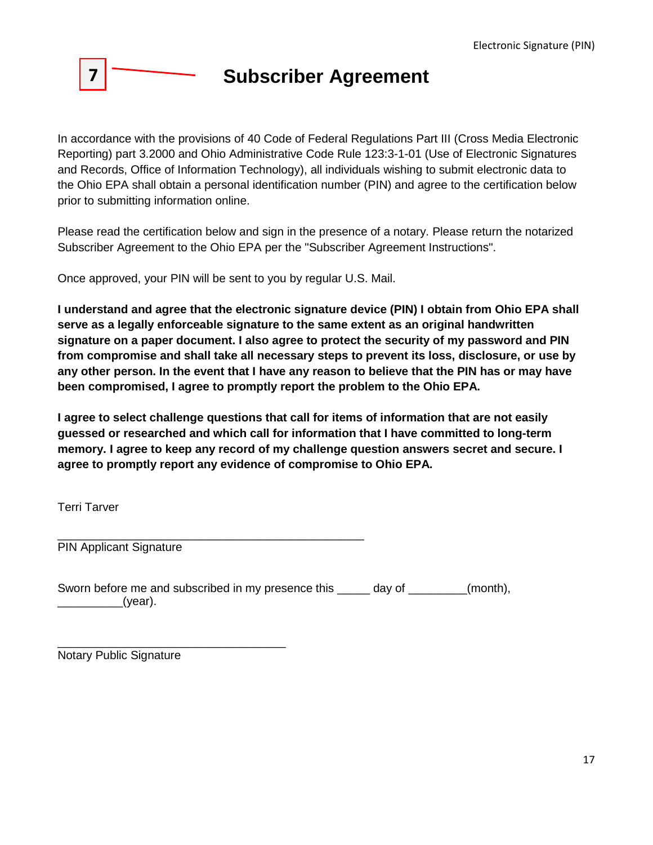## **Subscriber Agreement 7**

In accordance with the provisions of 40 Code of Federal Regulations Part III (Cross Media Electronic Reporting) part 3.2000 and Ohio Administrative Code Rule 123:3-1-01 (Use of Electronic Signatures and Records, Office of Information Technology), all individuals wishing to submit electronic data to the Ohio EPA shall obtain a personal identification number (PIN) and agree to the certification below prior to submitting information online.

Please read the certification below and sign in the presence of a notary. Please return the notarized Subscriber Agreement to the Ohio EPA per the "Subscriber Agreement Instructions".

Once approved, your PIN will be sent to you by regular U.S. Mail.

**I understand and agree that the electronic signature device (PIN) I obtain from Ohio EPA shall serve as a legally enforceable signature to the same extent as an original handwritten signature on a paper document. I also agree to protect the security of my password and PIN from compromise and shall take all necessary steps to prevent its loss, disclosure, or use by any other person. In the event that I have any reason to believe that the PIN has or may have been compromised, I agree to promptly report the problem to the Ohio EPA.**

**I agree to select challenge questions that call for items of information that are not easily guessed or researched and which call for information that I have committed to long-term memory. I agree to keep any record of my challenge question answers secret and secure. I agree to promptly report any evidence of compromise to Ohio EPA.**

Terri Tarver

\_\_\_\_\_\_\_\_\_\_\_\_\_\_\_\_\_\_\_\_\_\_\_\_\_\_\_\_\_\_\_\_\_\_\_\_\_\_\_\_\_\_\_\_\_\_\_ PIN Applicant Signature

Sworn before me and subscribed in my presence this day of  $(month)$ , \_\_\_\_\_\_\_\_\_\_(year).

\_\_\_\_\_\_\_\_\_\_\_\_\_\_\_\_\_\_\_\_\_\_\_\_\_\_\_\_\_\_\_\_\_\_\_ Notary Public Signature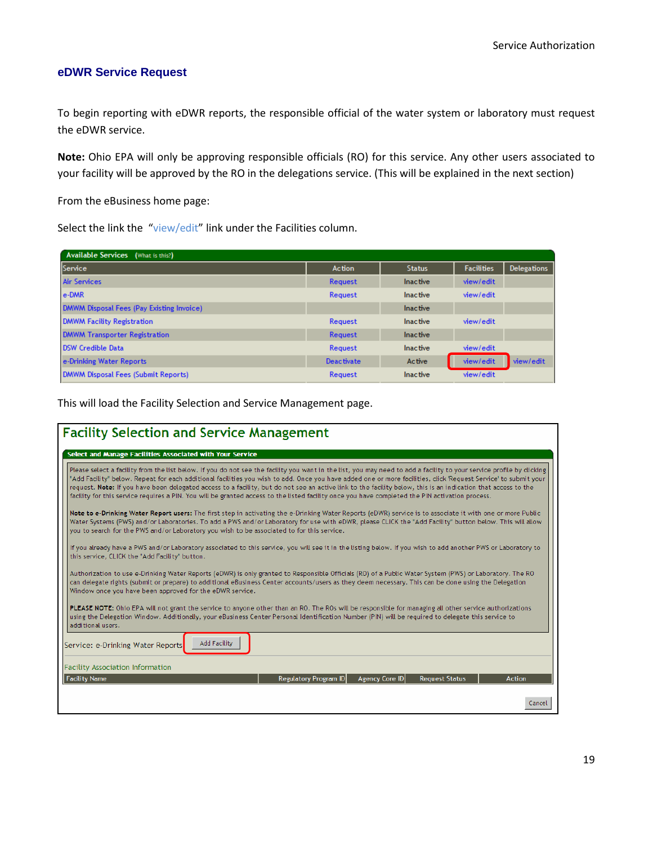#### **eDWR Service Request**

To begin reporting with eDWR reports, the responsible official of the water system or laboratory must request the eDWR service.

**Note:** Ohio EPA will only be approving responsible officials (RO) for this service. Any other users associated to your facility will be approved by the RO in the delegations service. (This will be explained in the next section)

From the eBusiness home page:

Select the link the "view/edit" link under the Facilities column.

| <b>Available Services</b> (What is this?) |                   |                 |                   |             |  |
|-------------------------------------------|-------------------|-----------------|-------------------|-------------|--|
| Service                                   | Action            | <b>Status</b>   | <b>Facilities</b> | Delegations |  |
| <b>Air Services</b>                       | Request           | <b>Inactive</b> | view/edit         |             |  |
| l e-DMR                                   | Request           | <b>Inactive</b> | view/edit         |             |  |
| DMWM Disposal Fees (Pay Existing Invoice) |                   | <b>Inactive</b> |                   |             |  |
| DMWM Facility Registration                | Request           | <b>Inactive</b> | view/edit         |             |  |
| <b>DMWM Transporter Registration</b>      | Request           | <b>Inactive</b> |                   |             |  |
| DSW Credible Data                         | Request           | <b>Inactive</b> | view/edit         |             |  |
| e-Drinking Water Reports                  | <b>Deactivate</b> | Active          | view/edit         | view/edit   |  |
| DMWM Disposal Fees (Submit Reports)       | Request           | <b>Inactive</b> | view/edit         |             |  |

This will load the Facility Selection and Service Management page.

| Select and Manage Facilities Associated with Your Service                                                                                                                                                                                                                                                                                                                                                                                                                                                                                                                                                                                                   |
|-------------------------------------------------------------------------------------------------------------------------------------------------------------------------------------------------------------------------------------------------------------------------------------------------------------------------------------------------------------------------------------------------------------------------------------------------------------------------------------------------------------------------------------------------------------------------------------------------------------------------------------------------------------|
| Please select a facility from the list below. If you do not see the facility you want in the list, you may need to add a facility to your service profile by clicking<br>"Add Facility" below. Repeat for each additional facilities you wish to add. Once you have added one or more facilities, dick 'Request Service' to submit your<br>request. Note: If you have been delegated access to a facility, but do not see an active link to the facility below, this is an indication that access to the<br>facility for this service requires a PIN. You will be granted access to the listed facility once you have completed the PIN activation process. |
| Note to e-Drinking Water Report users: The first step in activating the e-Drinking Water Reports (eDWR) service is to associate it with one or more Public<br>Water Systems (PWS) and/or Laboratories. To add a PWS and/or Laboratory for use with eDWR, please CLICK the "Add Facility" button below. This will allow<br>you to search for the PWS and/or Laboratory you wish to be associated to for this service.                                                                                                                                                                                                                                        |
| If you already have a PWS and/or Laboratory associated to this service, you will see it in the listing below. If you wish to add another PWS or Laboratory to<br>this service, CLICK the "Add Facility" button.                                                                                                                                                                                                                                                                                                                                                                                                                                             |
| Authorization to use e-Drinking Water Reports (eDWR) is only granted to Responsible Officials (RO) of a Public Water System (PWS) or Laboratory. The RO<br>can delegate rights (submit or prepare) to additional eBusiness Center accounts/users as they deem necessary. This can be done using the Delegation<br>Window once you have been approved for the eDWR service.                                                                                                                                                                                                                                                                                  |
| PLEASE NOTE: Ohio EPA will not grant the service to anyone other than an RO. The ROs will be responsible for managing all other service authorizations<br>using the Delegation Window. Additionally, your eBusiness Center Personal Identification Number (PIN) will be required to delegate this service to<br>additional users.                                                                                                                                                                                                                                                                                                                           |
| Add Facility<br>Service: e-Drinking Water Reports                                                                                                                                                                                                                                                                                                                                                                                                                                                                                                                                                                                                           |
| <b>Facility Association Information</b>                                                                                                                                                                                                                                                                                                                                                                                                                                                                                                                                                                                                                     |
| <b>Facility Name</b><br><b>Regulatory Program ID</b><br><b>Agency Core ID</b><br><b>Request Status</b><br><b>Action</b>                                                                                                                                                                                                                                                                                                                                                                                                                                                                                                                                     |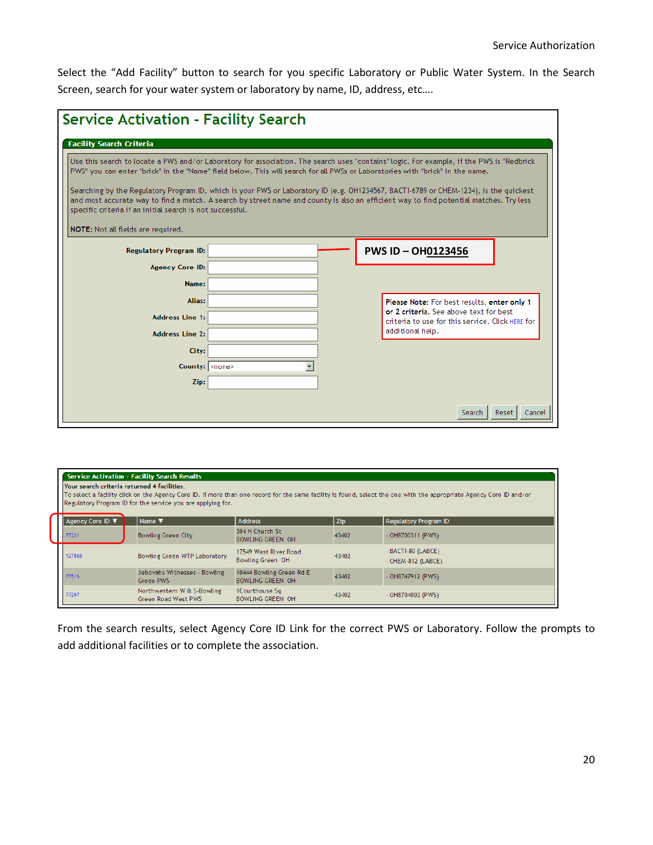Select the "Add Facility" button to search for you specific Laboratory or Public Water System. In the Search Screen, search for your water system or laboratory by name, ID, address, etc….

| <b>Service Activation - Facility Search</b>                                                                                                                                                                                      |  |                                                                                                                                                                                                                                                                                                                                                                                                                              |
|----------------------------------------------------------------------------------------------------------------------------------------------------------------------------------------------------------------------------------|--|------------------------------------------------------------------------------------------------------------------------------------------------------------------------------------------------------------------------------------------------------------------------------------------------------------------------------------------------------------------------------------------------------------------------------|
| <b>Facility Search Criteria</b>                                                                                                                                                                                                  |  |                                                                                                                                                                                                                                                                                                                                                                                                                              |
| PWS" you can enter "brick" in the "Name" field below. This will search for all PWSs or Laboratories with "brick" in the name.<br>specific criteria if an initial search is not successful.<br>NOTE: Not all fields are required. |  | Use this search to locate a PWS and/or Laboratory for association. The search uses "contains" logic. For example, if the PWS is "Redbrick<br>Searching by the Regulatory Program ID, which is your PWS or Laboratory ID (e.g. OH1234567, BACTI-6789 or CHEM-1234), is the quickest<br>and most accurate way to find a match. A search by street name and county is also an efficient way to find potential matches. Try less |
|                                                                                                                                                                                                                                  |  |                                                                                                                                                                                                                                                                                                                                                                                                                              |
| <b>Regulatory Program ID:</b>                                                                                                                                                                                                    |  | <b>PWS ID-OH0123456</b>                                                                                                                                                                                                                                                                                                                                                                                                      |
| <b>Agency Core ID:</b>                                                                                                                                                                                                           |  |                                                                                                                                                                                                                                                                                                                                                                                                                              |
| Name:                                                                                                                                                                                                                            |  |                                                                                                                                                                                                                                                                                                                                                                                                                              |
| Alias:                                                                                                                                                                                                                           |  | Please Note: For best results, enter only 1                                                                                                                                                                                                                                                                                                                                                                                  |
| <b>Address Line 1:</b>                                                                                                                                                                                                           |  | or 2 criteria. See above text for best<br>criteria to use for this service. Click HERE for                                                                                                                                                                                                                                                                                                                                   |
| <b>Address Line 2:</b>                                                                                                                                                                                                           |  | additional help.                                                                                                                                                                                                                                                                                                                                                                                                             |
| City:                                                                                                                                                                                                                            |  |                                                                                                                                                                                                                                                                                                                                                                                                                              |
| County: <none></none>                                                                                                                                                                                                            |  |                                                                                                                                                                                                                                                                                                                                                                                                                              |
| Zip:                                                                                                                                                                                                                             |  |                                                                                                                                                                                                                                                                                                                                                                                                                              |
|                                                                                                                                                                                                                                  |  |                                                                                                                                                                                                                                                                                                                                                                                                                              |
|                                                                                                                                                                                                                                  |  | Search<br>Reset<br>Cancel                                                                                                                                                                                                                                                                                                                                                                                                    |

| <b>Service Activation - Facility Search Results</b><br>Your search criteria returned 4 facilities.<br>To select a facility dick on the Agency Core ID. If more than one record for the same facility is found, select the one with the appropriate Agency Core ID and/or<br>Regulatory Program ID for the service you are applying for. |                                                   |                                                     |       |                                               |
|-----------------------------------------------------------------------------------------------------------------------------------------------------------------------------------------------------------------------------------------------------------------------------------------------------------------------------------------|---------------------------------------------------|-----------------------------------------------------|-------|-----------------------------------------------|
| Agency Core ID ▼                                                                                                                                                                                                                                                                                                                        | Name ▼                                            | <b>Address</b>                                      | Zip   | <b>Regulatory Program ID</b>                  |
| 77231                                                                                                                                                                                                                                                                                                                                   | <b>Bowling Green City</b>                         | 304 N Church St<br><b>BOWLING GREEN OH</b>          | 43402 | $-$ OH8700311 (PWS)                           |
| 127868                                                                                                                                                                                                                                                                                                                                  | Bowling Green WTP Laboratory                      | 17549 West River Road<br>Bowling Green OH           | 43402 | - BACTI-80 (LABCE)<br>$-$ CHEM $-812$ (LABCE) |
| 77516                                                                                                                                                                                                                                                                                                                                   | Jehovahs Witnesses - Bowling<br>Green PWS         | 10444 Bowling Green Rd E<br><b>BOWLING GREEN OH</b> | 43402 | - OH8747912 (PWS)                             |
| 77297                                                                                                                                                                                                                                                                                                                                   | Northwestern W & S-Bowling<br>Green Road West PWS | 1Courthouse Sq<br><b>BOWLING GREEN OH</b>           | 43402 | - OH8704003 (PWS)                             |

From the search results, select Agency Core ID Link for the correct PWS or Laboratory. Follow the prompts to add additional facilities or to complete the association.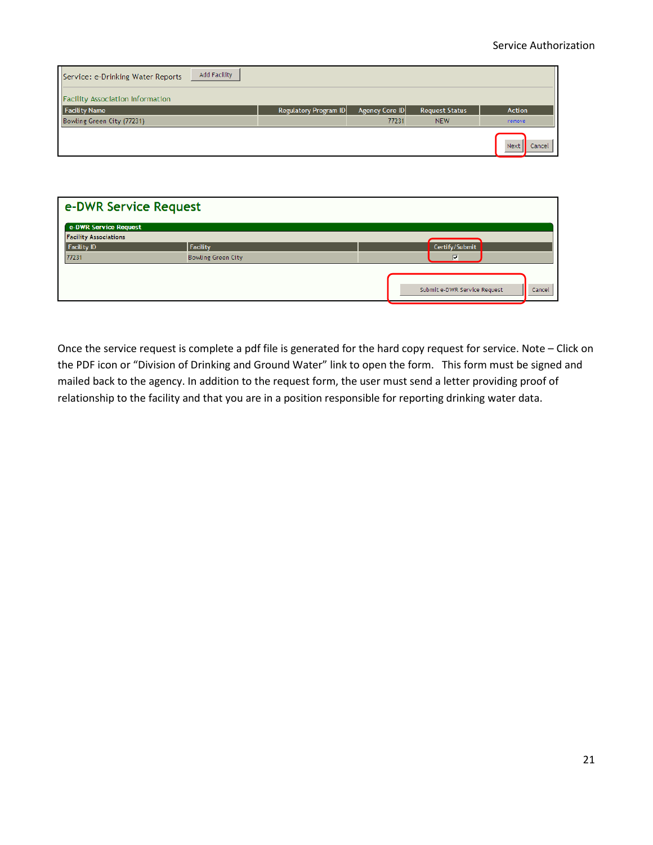| Add Facility<br>Service: e-Drinking Water Reports |                       |                |                       |                |
|---------------------------------------------------|-----------------------|----------------|-----------------------|----------------|
| <b>Facility Association Information</b>           |                       |                |                       |                |
| Facility Name                                     | Regulatory Program ID | Agency Core ID | <b>Request Status</b> | <b>Action</b>  |
| Bowling Green City (77231)                        |                       | 77231          | <b>NEW</b>            | remove         |
|                                                   |                       |                |                       | Next<br>Cancel |

| e-DWR Service Request        |                           |                                        |
|------------------------------|---------------------------|----------------------------------------|
| e-DWR Service Request        |                           |                                        |
| <b>Facility Associations</b> |                           |                                        |
| Facility ID                  | Facility                  | Certify/Submit                         |
| 77231                        | <b>Bowling Green City</b> | $\overline{v}$                         |
|                              |                           |                                        |
|                              |                           | Submit e-DWR Service Request<br>Cancel |

Once the service request is complete a pdf file is generated for the hard copy request for service. Note – Click on the PDF icon or "Division of Drinking and Ground Water" link to open the form. This form must be signed and mailed back to the agency. In addition to the request form, the user must send a letter providing proof of relationship to the facility and that you are in a position responsible for reporting drinking water data.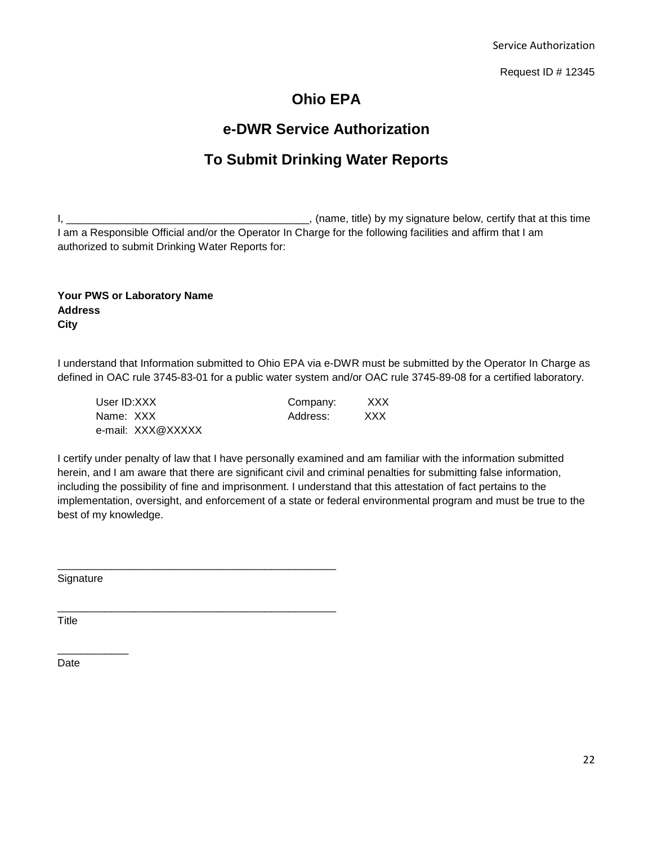## **Ohio EPA**

**e-DWR Service Authorization**

## **To Submit Drinking Water Reports**

I, \_\_\_\_\_\_\_\_\_\_\_\_\_\_\_\_\_\_\_\_\_\_\_\_\_\_\_\_\_\_\_\_\_\_\_\_\_\_\_\_\_, (name, title) by my signature below, certify that at this time I am a Responsible Official and/or the Operator In Charge for the following facilities and affirm that I am authorized to submit Drinking Water Reports for:

#### **Your PWS or Laboratory Name Address City**

I understand that Information submitted to Ohio EPA via e-DWR must be submitted by the Operator In Charge as defined in OAC rule 3745-83-01 for a public water system and/or OAC rule 3745-89-08 for a certified laboratory.

| User ID:XXX       | Company: | XXX  |
|-------------------|----------|------|
| Name: XXX         | Address: | XXX. |
| e-mail: XXX@XXXXX |          |      |

\_\_\_\_\_\_\_\_\_\_\_\_\_\_\_\_\_\_\_\_\_\_\_\_\_\_\_\_\_\_\_\_\_\_\_\_\_\_\_\_\_\_\_\_\_\_\_

\_\_\_\_\_\_\_\_\_\_\_\_\_\_\_\_\_\_\_\_\_\_\_\_\_\_\_\_\_\_\_\_\_\_\_\_\_\_\_\_\_\_\_\_\_\_\_

I certify under penalty of law that I have personally examined and am familiar with the information submitted herein, and I am aware that there are significant civil and criminal penalties for submitting false information, including the possibility of fine and imprisonment. I understand that this attestation of fact pertains to the implementation, oversight, and enforcement of a state or federal environmental program and must be true to the best of my knowledge.

**Signature** 

\_\_\_\_\_\_\_\_\_\_\_\_

Title

Date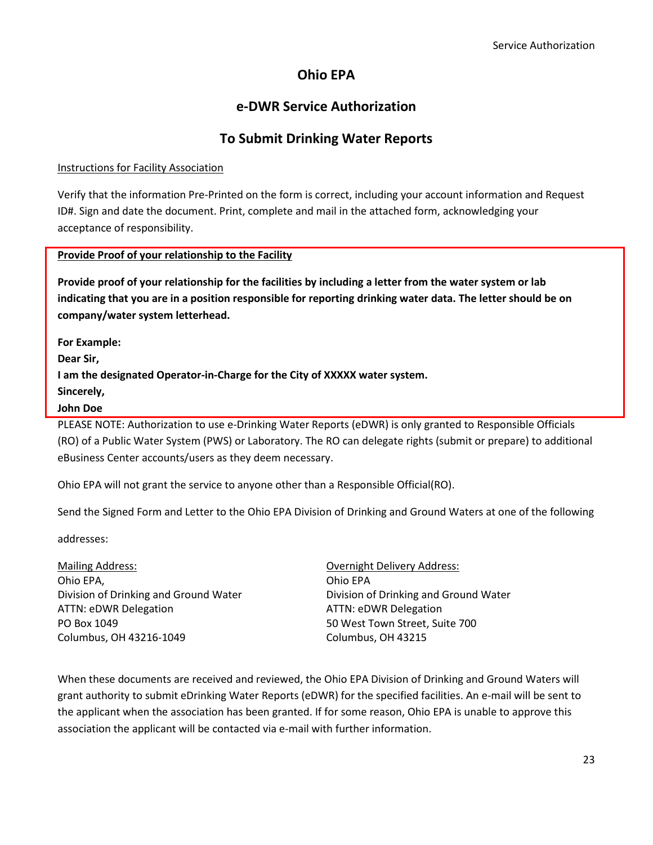## **Ohio EPA**

### **e-DWR Service Authorization**

## **To Submit Drinking Water Reports**

#### Instructions for Facility Association

Verify that the information Pre-Printed on the form is correct, including your account information and Request ID#. Sign and date the document. Print, complete and mail in the attached form, acknowledging your acceptance of responsibility.

#### **Provide Proof of your relationship to the Facility**

**Provide proof of your relationship for the facilities by including a letter from the water system or lab indicating that you are in a position responsible for reporting drinking water data. The letter should be on company/water system letterhead.**

**For Example:**

**Dear Sir,**

**I am the designated Operator-in-Charge for the City of XXXXX water system.**

**Sincerely,**

**John Doe**

PLEASE NOTE: Authorization to use e-Drinking Water Reports (eDWR) is only granted to Responsible Officials (RO) of a Public Water System (PWS) or Laboratory. The RO can delegate rights (submit or prepare) to additional eBusiness Center accounts/users as they deem necessary.

Ohio EPA will not grant the service to anyone other than a Responsible Official(RO).

Send the Signed Form and Letter to the Ohio EPA Division of Drinking and Ground Waters at one of the following

addresses:

Mailing Address: Overnight Delivery Address: Ohio EPA, Ohio EPA Division of Drinking and Ground Water Division of Drinking and Ground Water ATTN: eDWR Delegation ATTN: eDWR Delegation PO Box 1049 **FO Box 1049 FO Box 1049 FO Box 1049 FO Box 1049** Columbus, OH 43216-1049 Columbus, OH 43215

When these documents are received and reviewed, the Ohio EPA Division of Drinking and Ground Waters will grant authority to submit eDrinking Water Reports (eDWR) for the specified facilities. An e-mail will be sent to the applicant when the association has been granted. If for some reason, Ohio EPA is unable to approve this association the applicant will be contacted via e-mail with further information.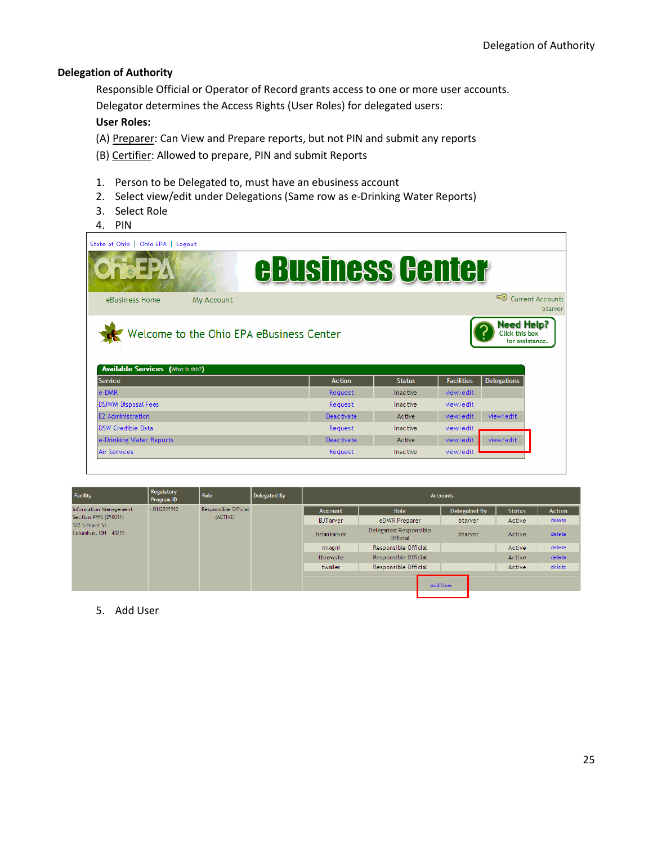#### **Delegation of Authority**

Responsible Official or Operator of Record grants access to one or more user accounts.

Delegator determines the Access Rights (User Roles) for delegated users:

#### **User Roles:**

- (A) Preparer: Can View and Prepare reports, but not PIN and submit any reports
- (B) Certifier: Allowed to prepare, PIN and submit Reports
- 1. Person to be Delegated to, must have an ebusiness account
- 2. Select view/edit under Delegations (Same row as e-Drinking Water Reports)
- 3. Select Role
- 4. PIN

| State of Ohio   Ohio EPA   Logout                                                  |                                          |                 |                   |                       |                                      |
|------------------------------------------------------------------------------------|------------------------------------------|-----------------|-------------------|-----------------------|--------------------------------------|
|                                                                                    | eBusiness Center                         |                 |                   |                       |                                      |
| eBusiness Home<br>My Account                                                       |                                          |                 |                   |                       | Current Account:<br>btarver          |
|                                                                                    |                                          |                 |                   |                       |                                      |
| <b>Available Services</b> (What is this?)                                          | Welcome to the Ohio EPA eBusiness Center |                 |                   | <b>Click this box</b> | <b>Need Help?</b><br>for assistance. |
| Service                                                                            | <b>Action</b>                            | <b>Status</b>   | <b>Facilities</b> | <b>Delegations</b>    |                                      |
| e-DMR                                                                              | Request                                  | <b>Inactive</b> | view/edit         |                       |                                      |
|                                                                                    | Request                                  | Inactive        | view/edit         |                       |                                      |
|                                                                                    | Deactivate                               | <b>Active</b>   | view/edit         | view/edit             |                                      |
| <b>DSIWM Disposal Fees</b><br><b>E2 Administration</b><br><b>DSW Credible Data</b> | Request                                  | <b>Inactive</b> | view/edit         |                       |                                      |
| e-Drinking Water Reports                                                           | Deactivate                               | Ac tive         | view/edit         | view/edit             |                                      |

| Facility                               | Regulatory<br>Program ID | Role                 | Delegated By                      | <b>Accounts</b> |                      |                     |               |        |  |        |                      |  |        |        |
|----------------------------------------|--------------------------|----------------------|-----------------------------------|-----------------|----------------------|---------------------|---------------|--------|--|--------|----------------------|--|--------|--------|
| <b>Information Management</b>          | $-$ OH2599912            | Responsible Official |                                   | <b>Account</b>  | Role                 | <b>Delegated By</b> | <b>Status</b> | Action |  |        |                      |  |        |        |
| Section PWS (290011)<br>122 S Front St | (ACTIVE)                 |                      | <b>BJTarver</b>                   | eDWR Preparer   | btarver              | Active              | delete        |        |  |        |                      |  |        |        |
| Columbus, OH 43215                     |                          | briantarver          | Delegated Responsible<br>Official | btarver         | Active               | delete              |               |        |  |        |                      |  |        |        |
|                                        |                          |                      |                                   |                 |                      |                     |               |        |  | rmagni | Responsible Official |  | Active | delete |
|                                        |                          |                      |                                   | tbrewste        | Responsible Official |                     | Active        | delete |  |        |                      |  |        |        |
|                                        |                          |                      |                                   | twaller         | Responsible Official |                     | Active        | delete |  |        |                      |  |        |        |
|                                        |                          |                      |                                   |                 |                      | Add User            |               |        |  |        |                      |  |        |        |

5. Add User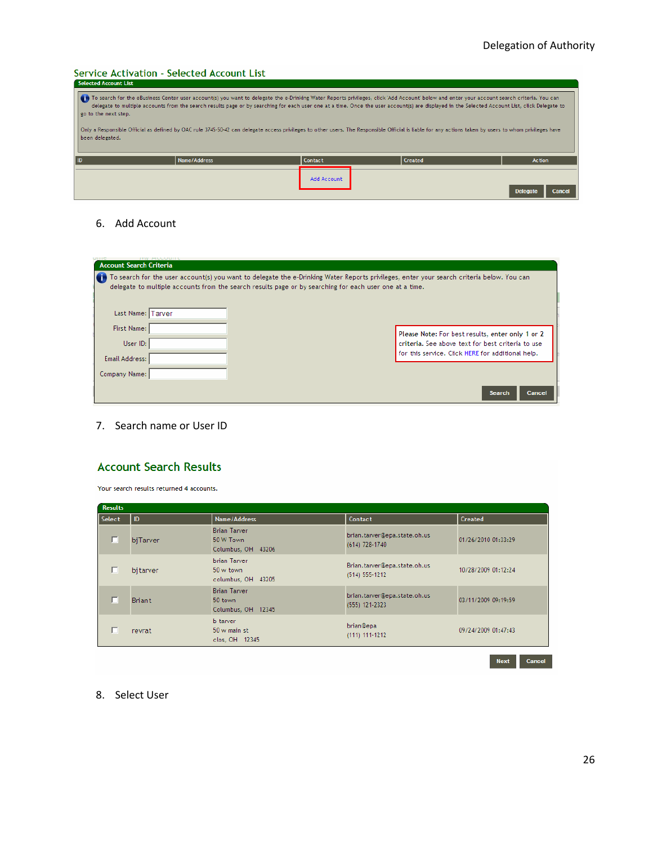#### **Service Activation - Selected Account List**

| Selected Account List                                                                                                                                                                                                                                                                                                                                                                                                |              |                                                                                                                                                                                                        |         |                           |  |  |
|----------------------------------------------------------------------------------------------------------------------------------------------------------------------------------------------------------------------------------------------------------------------------------------------------------------------------------------------------------------------------------------------------------------------|--------------|--------------------------------------------------------------------------------------------------------------------------------------------------------------------------------------------------------|---------|---------------------------|--|--|
| To search for the eBusiness Center user account(s) you want to delegate the e-Drinking Water Reports privileges, click 'Add Account' below and enter your account search criteria. You can<br>delegate to multiple accounts from the search results page or by searching for each user one at a time. Once the user account(s) are displayed in the Selected Account List, click Delegate to<br>go to the next step. |              |                                                                                                                                                                                                        |         |                           |  |  |
| been delegated.                                                                                                                                                                                                                                                                                                                                                                                                      |              | Only a Responsible Official as defined by OAC rule 3745-50-42 can delegate access privileges to other users. The Responsible Official is liable for any actions taken by users to whom privileges have |         |                           |  |  |
| <b>ID</b>                                                                                                                                                                                                                                                                                                                                                                                                            | Name/Address | Contact                                                                                                                                                                                                | Created | Action                    |  |  |
|                                                                                                                                                                                                                                                                                                                                                                                                                      |              | Add Account                                                                                                                                                                                            |         |                           |  |  |
|                                                                                                                                                                                                                                                                                                                                                                                                                      |              |                                                                                                                                                                                                        |         | <b>Delegate</b><br>Cancel |  |  |

#### 6. Add Account

| <b>Account Search Criteria</b> |                                                                                                                                                                                                                                                      |                                                   |
|--------------------------------|------------------------------------------------------------------------------------------------------------------------------------------------------------------------------------------------------------------------------------------------------|---------------------------------------------------|
|                                | To search for the user account(s) you want to delegate the e-Drinking Water Reports privileges, enter your search criteria below. You can<br>delegate to multiple accounts from the search results page or by searching for each user one at a time. |                                                   |
|                                |                                                                                                                                                                                                                                                      |                                                   |
| Last Name: Tarver              |                                                                                                                                                                                                                                                      |                                                   |
| <b>First Name:</b>             |                                                                                                                                                                                                                                                      | Please Note: For best results, enter only 1 or 2  |
| User ID:                       |                                                                                                                                                                                                                                                      | criteria. See above text for best criteria to use |
| Email Address:                 |                                                                                                                                                                                                                                                      | for this service. Click HERE for additional help. |
| Company Name:                  |                                                                                                                                                                                                                                                      |                                                   |
|                                |                                                                                                                                                                                                                                                      | Cancel<br><b>Search</b>                           |

7. Search name or User ID

#### **Account Search Results**

| Your search results returned 4 accounts. |  |  |
|------------------------------------------|--|--|
|                                          |  |  |

| <b>Results</b> |          |                                                        |                                                  |                     |
|----------------|----------|--------------------------------------------------------|--------------------------------------------------|---------------------|
| l Select.      | l ID.    | Name/Address                                           | Contact                                          | <b>Created</b>      |
| г              | biTarver | <b>Brian Tarver</b><br>50 W Town<br>Columbus, OH 43206 | brian.tarver@epa.state.oh.us<br>$(614)$ 728-1740 | 01/26/2010 01:33:29 |
|                | bitarver | brian Tarver<br>50 w town<br>columbus, OH 43205        | Brian.tarver@epa.state.oh.us<br>(514) 555-1212   | 10/28/2009 01:12:24 |
|                | Briant   | <b>Brian Tarver</b><br>50 town<br>Columbus, OH 12345   | brian.tarver@epa.state.oh.us<br>(555) 121-2323   | 03/11/2009 09:19:59 |
|                | revrat   | b tarver<br>50 w main st<br>clos, OH 12345             | brian@epa<br>$(111) 111 - 1212$                  | 09/24/2009 01:47:43 |
|                |          |                                                        |                                                  |                     |

Next Cancel

8. Select User